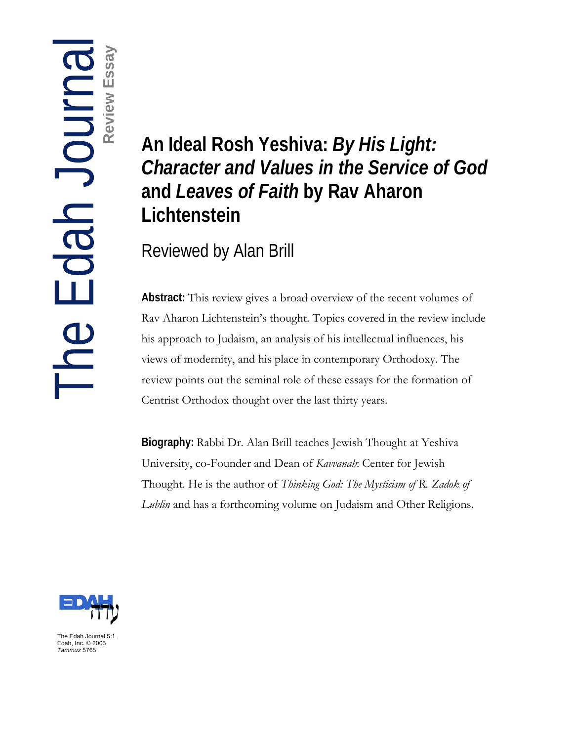# **Review Essay**

# **The Edge of An Ideal Rosh Yeshiva:** *By His Light:*<br> *Character and Values in the Service c*<br>
and *Leaves of Faith* by Rav Aharon<br>
Lichtenstein<br>
Reviewed by Alan Brill<br> **Abstract:** This review gives a broad overview of th *Character and Values in the Service of God*  **and** *Leaves of Faith* **by Rav Aharon Lichtenstein**

Reviewed by Alan Brill

**Abstract:** This review gives a broad overview of the recent volumes of Rav Aharon Lichtenstein's thought. Topics covered in the review include his approach to Judaism, an analysis of his intellectual influences, his views of modernity, and his place in contemporary Orthodoxy. The review points out the seminal role of these essays for the formation of Centrist Orthodox thought over the last thirty years.

**Biography:** Rabbi Dr. Alan Brill teaches Jewish Thought at Yeshiva University, co-Founder and Dean of *Kavvanah*: Center for Jewish Thought. He is the author of *Thinking God: The Mysticism of R. Zadok of Lublin* and has a forthcoming volume on Judaism and Other Religions.



The Edah Journal 5:1 Edah, Inc. © 2005 *Tammuz* 5765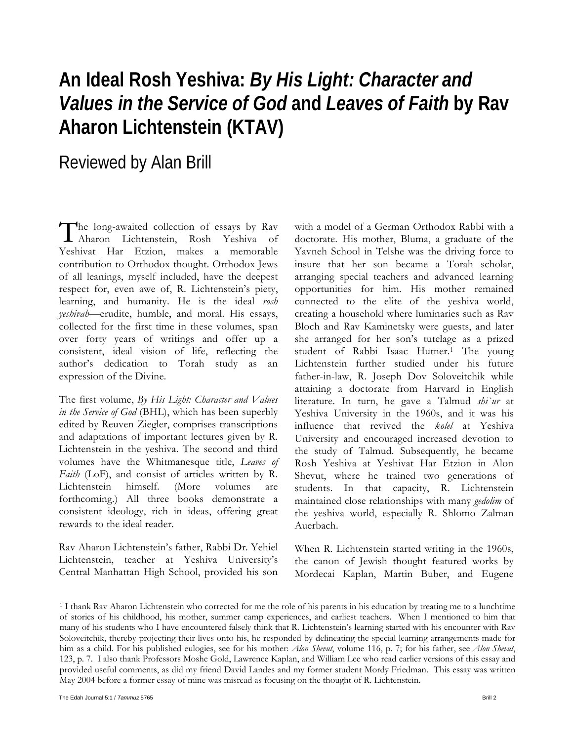# **An Ideal Rosh Yeshiva:** *By His Light: Character and Values in the Service of God* **and** *Leaves of Faith* **by Rav Aharon Lichtenstein (KTAV)**

## Reviewed by Alan Brill

he long-awaited collection of essays by Rav The long-awaited collection of essays by Rav<br>Aharon Lichtenstein, Rosh Yeshiva of Yeshivat Har Etzion, makes a memorable contribution to Orthodox thought. Orthodox Jews of all leanings, myself included, have the deepest respect for, even awe of, R. Lichtenstein's piety, learning, and humanity. He is the ideal *rosh yeshivah—*erudite, humble, and moral. His essays, collected for the first time in these volumes, span over forty years of writings and offer up a consistent, ideal vision of life, reflecting the author's dedication to Torah study as an expression of the Divine.

The first volume, *By His Light: Character and Values in the Service of God* (BHL), which has been superbly edited by Reuven Ziegler, comprises transcriptions and adaptations of important lectures given by R. Lichtenstein in the yeshiva. The second and third volumes have the Whitmanesque title, *Leaves of Faith* (LoF), and consist of articles written by R. Lichtenstein himself. (More volumes are forthcoming.) All three books demonstrate a consistent ideology, rich in ideas, offering great rewards to the ideal reader.

Rav Aharon Lichtenstein's father, Rabbi Dr. Yehiel Lichtenstein, teacher at Yeshiva University's Central Manhattan High School, provided his son

with a model of a German Orthodox Rabbi with a doctorate. His mother, Bluma, a graduate of the Yavneh School in Telshe was the driving force to insure that her son became a Torah scholar, arranging special teachers and advanced learning opportunities for him. His mother remained connected to the elite of the yeshiva world, creating a household where luminaries such as Rav Bloch and Rav Kaminetsky were guests, and later she arranged for her son's tutelage as a prized student of Rabbi Isaac Hutner.1 The young Lichtenstein further studied under his future father-in-law, R. Joseph Dov Soloveitchik while attaining a doctorate from Harvard in English literature. In turn, he gave a Talmud *shi`ur* at Yeshiva University in the 1960s, and it was his influence that revived the *kolel* at Yeshiva University and encouraged increased devotion to the study of Talmud. Subsequently, he became Rosh Yeshiva at Yeshivat Har Etzion in Alon Shevut, where he trained two generations of students. In that capacity, R. Lichtenstein maintained close relationships with many *gedolim* of the yeshiva world, especially R. Shlomo Zalman Auerbach.

When R. Lichtenstein started writing in the 1960s, the canon of Jewish thought featured works by Mordecai Kaplan, Martin Buber, and Eugene

<sup>1</sup> I thank Rav Aharon Lichtenstein who corrected for me the role of his parents in his education by treating me to a lunchtime of stories of his childhood, his mother, summer camp experiences, and earliest teachers. When I mentioned to him that many of his students who I have encountered falsely think that R. Lichtenstein's learning started with his encounter with Rav Soloveitchik, thereby projecting their lives onto his, he responded by delineating the special learning arrangements made for him as a child. For his published eulogies, see for his mother: *Alon Shevut*, volume 116, p. 7; for his father, see *Alon Shevut*, 123, p. 7. I also thank Professors Moshe Gold, Lawrence Kaplan, and William Lee who read earlier versions of this essay and provided useful comments, as did my friend David Landes and my former student Mordy Friedman. This essay was written May 2004 before a former essay of mine was misread as focusing on the thought of R. Lichtenstein.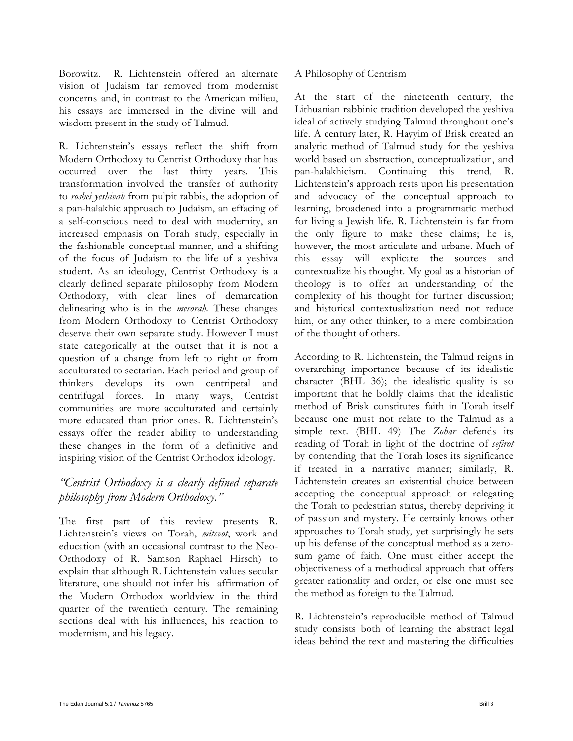Borowitz. R. Lichtenstein offered an alternate vision of Judaism far removed from modernist concerns and, in contrast to the American milieu, his essays are immersed in the divine will and wisdom present in the study of Talmud.

R. Lichtenstein's essays reflect the shift from Modern Orthodoxy to Centrist Orthodoxy that has occurred over the last thirty years. This transformation involved the transfer of authority to *roshei yeshivah* from pulpit rabbis, the adoption of a pan-halakhic approach to Judaism, an effacing of a self-conscious need to deal with modernity, an increased emphasis on Torah study, especially in the fashionable conceptual manner, and a shifting of the focus of Judaism to the life of a yeshiva student. As an ideology, Centrist Orthodoxy is a clearly defined separate philosophy from Modern Orthodoxy, with clear lines of demarcation delineating who is in the *mesorah.* These changes from Modern Orthodoxy to Centrist Orthodoxy deserve their own separate study. However I must state categorically at the outset that it is not a question of a change from left to right or from acculturated to sectarian. Each period and group of thinkers develops its own centripetal and centrifugal forces. In many ways, Centrist communities are more acculturated and certainly more educated than prior ones. R. Lichtenstein's essays offer the reader ability to understanding these changes in the form of a definitive and inspiring vision of the Centrist Orthodox ideology.

### *"Centrist Orthodoxy is a clearly defined separate philosophy from Modern Orthodoxy."*

The first part of this review presents R. Lichtenstein's views on Torah, *mitsvot*, work and education (with an occasional contrast to the Neo-Orthodoxy of R. Samson Raphael Hirsch) to explain that although R. Lichtenstein values secular literature, one should not infer his affirmation of the Modern Orthodox worldview in the third quarter of the twentieth century. The remaining sections deal with his influences, his reaction to modernism, and his legacy.

### A Philosophy of Centrism

At the start of the nineteenth century, the Lithuanian rabbinic tradition developed the yeshiva ideal of actively studying Talmud throughout one's life. A century later, R. Hayyim of Brisk created an analytic method of Talmud study for the yeshiva world based on abstraction, conceptualization, and pan-halakhicism. Continuing this trend, R. Lichtenstein's approach rests upon his presentation and advocacy of the conceptual approach to learning, broadened into a programmatic method for living a Jewish life. R. Lichtenstein is far from the only figure to make these claims; he is, however, the most articulate and urbane. Much of this essay will explicate the sources and contextualize his thought. My goal as a historian of theology is to offer an understanding of the complexity of his thought for further discussion; and historical contextualization need not reduce him, or any other thinker, to a mere combination of the thought of others.

According to R. Lichtenstein, the Talmud reigns in overarching importance because of its idealistic character (BHL 36); the idealistic quality is so important that he boldly claims that the idealistic method of Brisk constitutes faith in Torah itself because one must not relate to the Talmud as a simple text. (BHL 49) The *Zohar* defends its reading of Torah in light of the doctrine of *sefirot* by contending that the Torah loses its significance if treated in a narrative manner; similarly, R. Lichtenstein creates an existential choice between accepting the conceptual approach or relegating the Torah to pedestrian status, thereby depriving it of passion and mystery. He certainly knows other approaches to Torah study, yet surprisingly he sets up his defense of the conceptual method as a zerosum game of faith. One must either accept the objectiveness of a methodical approach that offers greater rationality and order, or else one must see the method as foreign to the Talmud.

R. Lichtenstein's reproducible method of Talmud study consists both of learning the abstract legal ideas behind the text and mastering the difficulties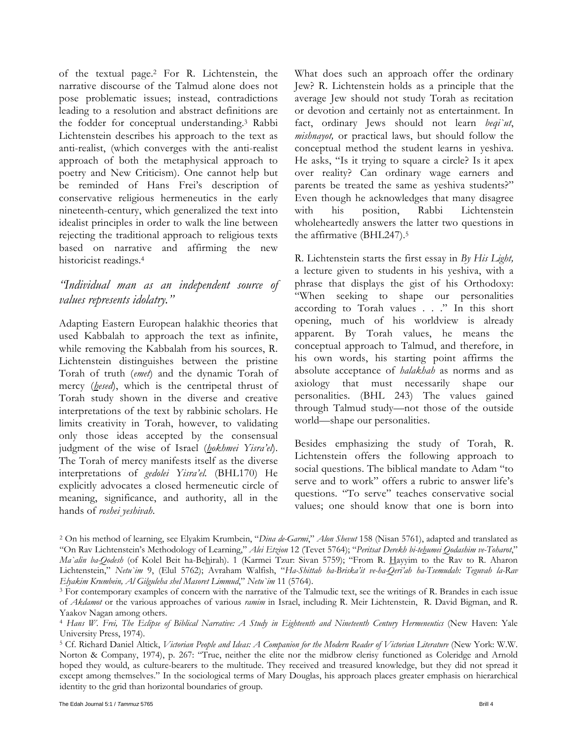of the textual page.2 For R. Lichtenstein, the narrative discourse of the Talmud alone does not pose problematic issues; instead, contradictions leading to a resolution and abstract definitions are the fodder for conceptual understanding.3 Rabbi Lichtenstein describes his approach to the text as anti-realist, (which converges with the anti-realist approach of both the metaphysical approach to poetry and New Criticism). One cannot help but be reminded of Hans Frei's description of conservative religious hermeneutics in the early nineteenth-century, which generalized the text into idealist principles in order to walk the line between rejecting the traditional approach to religious texts based on narrative and affirming the new historicist readings.4

### *"Individual man as an independent source of values represents idolatry."*

Adapting Eastern European halakhic theories that used Kabbalah to approach the text as infinite, while removing the Kabbalah from his sources, R. Lichtenstein distinguishes between the pristine Torah of truth (*emet*) and the dynamic Torah of mercy (*hesed*), which is the centripetal thrust of Torah study shown in the diverse and creative interpretations of the text by rabbinic scholars. He limits creativity in Torah, however, to validating only those ideas accepted by the consensual judgment of the wise of Israel (*hokhmei Yisra'el*). The Torah of mercy manifests itself as the diverse interpretations of *gedolei Yisra'el.* (BHL170) He explicitly advocates a closed hermeneutic circle of meaning, significance, and authority, all in the hands of *roshei yeshivah*.

What does such an approach offer the ordinary Jew? R. Lichtenstein holds as a principle that the average Jew should not study Torah as recitation or devotion and certainly not as entertainment. In fact, ordinary Jews should not learn *beqi`ut*, *mishnayot,* or practical laws, but should follow the conceptual method the student learns in yeshiva. He asks, "Is it trying to square a circle? Is it apex over reality? Can ordinary wage earners and parents be treated the same as yeshiva students?" Even though he acknowledges that many disagree with his position, Rabbi Lichtenstein wholeheartedly answers the latter two questions in the affirmative (BHL247).5

R. Lichtenstein starts the first essay in *By His Light,*  a lecture given to students in his yeshiva, with a phrase that displays the gist of his Orthodoxy: "When seeking to shape our personalities according to Torah values . . ." In this short opening, much of his worldview is already apparent. By Torah values, he means the conceptual approach to Talmud, and therefore, in his own words, his starting point affirms the absolute acceptance of *halakhah* as norms and as axiology that must necessarily shape our personalities. (BHL 243) The values gained through Talmud study—not those of the outside world—shape our personalities.

Besides emphasizing the study of Torah, R. Lichtenstein offers the following approach to social questions. The biblical mandate to Adam "to serve and to work" offers a rubric to answer life's questions. "To serve" teaches conservative social values; one should know that one is born into

<sup>2</sup> On his method of learning, see Elyakim Krumbein, "*Dina de-Garmi*," *Alon Shevut* 158 (Nisan 5761), adapted and translated as "On Rav Lichtenstein's Methodology of Learning," *Alei Etzion* 12 (Tevet 5764); "*Peritsat Derekh bi-tehumei Qodashim ve-Toharot*," *Ma`alin ba-Qodesh* (of Kolel Beit ha-Behirah). 1 (Karmei Tzur: Sivan 5759); "From R. Hayyim to the Rav to R. Aharon Lichtenstein," *Netu`im* 9, (Elul 5762); Avraham Walfish, "*Ha-Shittah ha-Briska'it ve-ha-Qeri'ah ha-Tsemudah: Teguvah la-Rav* 

<sup>&</sup>lt;sup>3</sup> For contemporary examples of concern with the narrative of the Talmudic text, see the writings of R. Brandes in each issue of *Akdamot* or the various approaches of various *ramim* in Israel, including R. Meir Lichtenstein, R. David Bigman, and R. Yaakov Nagan among others.

<sup>4</sup> *Hans W. Frei, The Eclipse of Biblical Narrative: A Study in Eighteenth and Nineteenth Century Hermeneutics* (New Haven: Yale University Press, 1974).

<sup>&</sup>lt;sup>5</sup> Cf. Richard Daniel Altick, *Victorian People and Ideas: A Companion for the Modern Reader of Victorian Literature* (New York: W.W. Norton & Company, 1974), p. 267: "True, neither the elite nor the midbrow clerisy functioned as Coleridge and Arnold hoped they would, as culture-bearers to the multitude. They received and treasured knowledge, but they did not spread it except among themselves." In the sociological terms of Mary Douglas, his approach places greater emphasis on hierarchical identity to the grid than horizontal boundaries of group.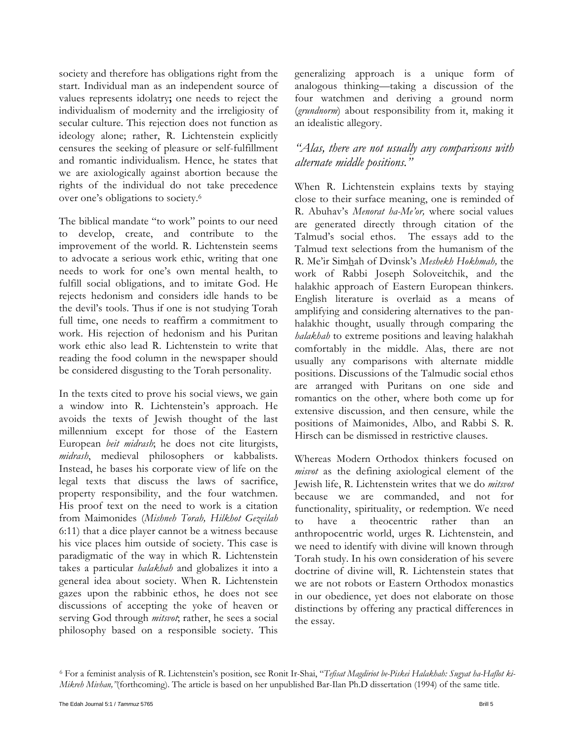society and therefore has obligations right from the start. Individual man as an independent source of values represents idolatry**;** one needs to reject the individualism of modernity and the irreligiosity of secular culture. This rejection does not function as ideology alone; rather, R. Lichtenstein explicitly censures the seeking of pleasure or self-fulfillment and romantic individualism. Hence, he states that we are axiologically against abortion because the rights of the individual do not take precedence over one's obligations to society.6

The biblical mandate "to work" points to our need to develop, create, and contribute to the improvement of the world. R. Lichtenstein seems to advocate a serious work ethic, writing that one needs to work for one's own mental health, to fulfill social obligations, and to imitate God. He rejects hedonism and considers idle hands to be the devil's tools. Thus if one is not studying Torah full time, one needs to reaffirm a commitment to work. His rejection of hedonism and his Puritan work ethic also lead R. Lichtenstein to write that reading the food column in the newspaper should be considered disgusting to the Torah personality.

In the texts cited to prove his social views, we gain a window into R. Lichtenstein's approach. He avoids the texts of Jewish thought of the last millennium except for those of the Eastern European *beit midrash*; he does not cite liturgists, *midrash*, medieval philosophers or kabbalists. Instead, he bases his corporate view of life on the legal texts that discuss the laws of sacrifice, property responsibility, and the four watchmen. His proof text on the need to work is a citation from Maimonides (*Mishneh Torah, Hilkhot Gezeilah* 6:11) that a dice player cannot be a witness because his vice places him outside of society. This case is paradigmatic of the way in which R. Lichtenstein takes a particular *halakhah* and globalizes it into a general idea about society. When R. Lichtenstein gazes upon the rabbinic ethos, he does not see discussions of accepting the yoke of heaven or serving God through *mitsvot*; rather, he sees a social philosophy based on a responsible society. This

generalizing approach is a unique form of analogous thinking*—*taking a discussion of the four watchmen and deriving a ground norm (*grundnorm*) about responsibility from it, making it an idealistic allegory.

### *"Alas, there are not usually any comparisons with alternate middle positions."*

When R. Lichtenstein explains texts by staying close to their surface meaning, one is reminded of R. Abuhav's *Menorat ha-Me'or,* where social values are generated directly through citation of the Talmud's social ethos. The essays add to the Talmud text selections from the humanism of the R. Me'ir Simhah of Dvinsk's *Meshekh Hokhmah,* the work of Rabbi Joseph Soloveitchik, and the halakhic approach of Eastern European thinkers. English literature is overlaid as a means of amplifying and considering alternatives to the panhalakhic thought, usually through comparing the *halakhah* to extreme positions and leaving halakhah comfortably in the middle. Alas, there are not usually any comparisons with alternate middle positions. Discussions of the Talmudic social ethos are arranged with Puritans on one side and romantics on the other, where both come up for extensive discussion, and then censure, while the positions of Maimonides, Albo, and Rabbi S. R. Hirsch can be dismissed in restrictive clauses.

Whereas Modern Orthodox thinkers focused on *misvot* as the defining axiological element of the Jewish life, R. Lichtenstein writes that we do *mitsvot* because we are commanded, and not for functionality, spirituality, or redemption. We need have a theocentric rather than an anthropocentric world, urges R. Lichtenstein, and we need to identify with divine will known through Torah study. In his own consideration of his severe doctrine of divine will, R. Lichtenstein states that we are not robots or Eastern Orthodox monastics in our obedience, yet does not elaborate on those distinctions by offering any practical differences in the essay.

<sup>6</sup> For a feminist analysis of R. Lichtenstein's position, see Ronit Ir-Shai, "*Tefisat Magdiriot be-Piskei Halakhah: Sugyat ha-Haflot ki-Mikreh Mivhan,"*(forthcoming). The article is based on her unpublished Bar-Ilan Ph.D dissertation (1994) of the same title.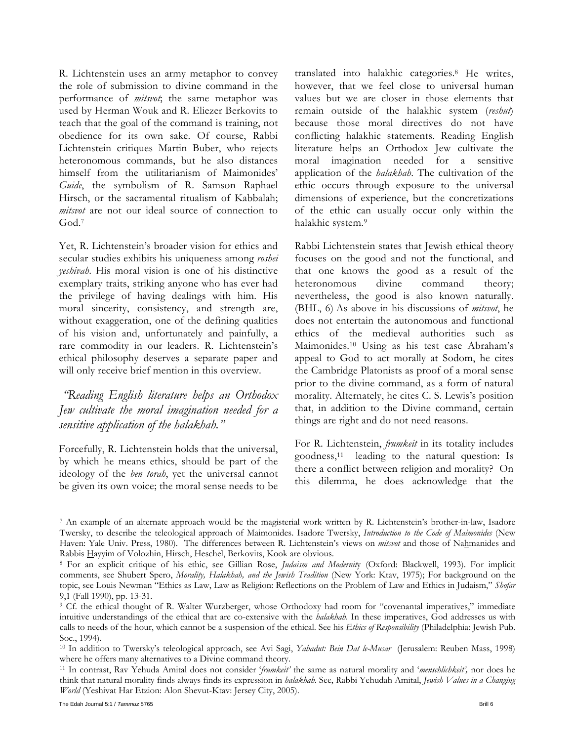R. Lichtenstein uses an army metaphor to convey the role of submission to divine command in the performance of *mitsvot*; the same metaphor was used by Herman Wouk and R. Eliezer Berkovits to teach that the goal of the command is training, not obedience for its own sake. Of course, Rabbi Lichtenstein critiques Martin Buber, who rejects heteronomous commands, but he also distances himself from the utilitarianism of Maimonides' *Guide*, the symbolism of R. Samson Raphael Hirsch, or the sacramental ritualism of Kabbalah; *mitsvot* are not our ideal source of connection to God.7

Yet, R. Lichtenstein's broader vision for ethics and secular studies exhibits his uniqueness among *roshei yeshivah*. His moral vision is one of his distinctive exemplary traits, striking anyone who has ever had the privilege of having dealings with him. His moral sincerity, consistency, and strength are, without exaggeration, one of the defining qualities of his vision and, unfortunately and painfully, a rare commodity in our leaders. R. Lichtenstein's ethical philosophy deserves a separate paper and will only receive brief mention in this overview.

### *"Reading English literature helps an Orthodox Jew cultivate the moral imagination needed for a sensitive application of the halakhah."*

Forcefully, R. Lichtenstein holds that the universal, by which he means ethics, should be part of the ideology of the *ben torah*, yet the universal cannot be given its own voice; the moral sense needs to be

translated into halakhic categories.8 He writes, however, that we feel close to universal human values but we are closer in those elements that remain outside of the halakhic system (*reshut*) because those moral directives do not have conflicting halakhic statements. Reading English literature helps an Orthodox Jew cultivate the moral imagination needed for a sensitive application of the *halakhah*. The cultivation of the ethic occurs through exposure to the universal dimensions of experience, but the concretizations of the ethic can usually occur only within the halakhic system.9

Rabbi Lichtenstein states that Jewish ethical theory focuses on the good and not the functional, and that one knows the good as a result of the heteronomous divine command theory; nevertheless, the good is also known naturally. (BHL, 6) As above in his discussions of *mitsvot*, he does not entertain the autonomous and functional ethics of the medieval authorities such as Maimonides.10 Using as his test case Abraham's appeal to God to act morally at Sodom, he cites the Cambridge Platonists as proof of a moral sense prior to the divine command, as a form of natural morality. Alternately, he cites C. S. Lewis's position that, in addition to the Divine command, certain things are right and do not need reasons.

For R. Lichtenstein, *frumkeit* in its totality includes goodness,11 leading to the natural question: Is there a conflict between religion and morality? On this dilemma, he does acknowledge that the

<sup>7</sup> An example of an alternate approach would be the magisterial work written by R. Lichtenstein's brother-in-law, Isadore Twersky, to describe the teleological approach of Maimonides. Isadore Twersky, *Introduction to the Code of Maimonides* (New Haven: Yale Univ. Press, 1980). The differences between R. Lichtenstein's views on *mitsvot* and those of Nahmanides and Rabbis Hayyim of Volozhin, Hirsch, Heschel, Berkovits, Kook are obvious. 8 For an explicit critique of his ethic, see Gillian Rose, *Judaism and Modernit*y (Oxford: Blackwell, 1993). For implicit

comments, see Shubert Spero, *Morality, Halakhah, and the Jewish Tradition* (New York: Ktav, 1975); For background on the topic, see Louis Newman "Ethics as Law, Law as Religion: Reflections on the Problem of Law and Ethics in Judaism," *Shofar* 9,1 (Fall 1990), pp. 13-31.

<sup>9</sup> Cf. the ethical thought of R. Walter Wurzberger, whose Orthodoxy had room for "covenantal imperatives," immediate intuitive understandings of the ethical that are co-extensive with the *halakhah*. In these imperatives, God addresses us with calls to needs of the hour, which cannot be a suspension of the ethical. See his *Ethics of Responsibility* (Philadelphia: Jewish Pub. Soc., 1994).

<sup>10</sup> In addition to Twersky's teleological approach, see Avi Sagi, *Yahadut: Bein Dat le-Musar* (Jerusalem: Reuben Mass, 1998)

where he offers many alternatives to a Divine command theory.<br><sup>11</sup> In contrast, Rav Yehuda Amital does not consider '*frumkeit'* the same as natural morality and '*menschlichkeit'*, nor does he think that natural morality finds always finds its expression in *halakhah*. See, Rabbi Yehudah Amital, *Jewish Values in a Changing World* (Yeshivat Har Etzion: Alon Shevut-Ktav: Jersey City, 2005).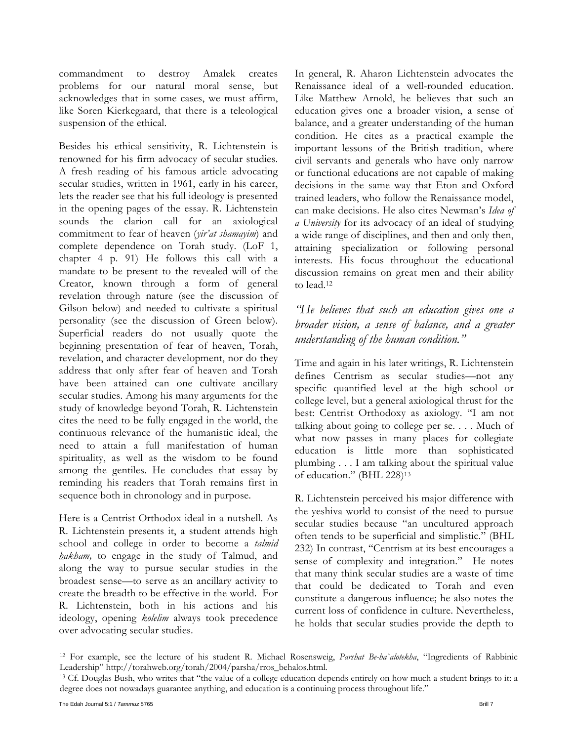commandment to destroy Amalek creates problems for our natural moral sense, but acknowledges that in some cases, we must affirm, like Soren Kierkegaard, that there is a teleological suspension of the ethical.

Besides his ethical sensitivity, R. Lichtenstein is renowned for his firm advocacy of secular studies. A fresh reading of his famous article advocating secular studies, written in 1961, early in his career, lets the reader see that his full ideology is presented in the opening pages of the essay. R. Lichtenstein sounds the clarion call for an axiological commitment to fear of heaven (*yir'at shamayim*) and complete dependence on Torah study. (LoF 1, chapter 4 p. 91) He follows this call with a mandate to be present to the revealed will of the Creator, known through a form of general revelation through nature (see the discussion of Gilson below) and needed to cultivate a spiritual personality (see the discussion of Green below). Superficial readers do not usually quote the beginning presentation of fear of heaven, Torah, revelation, and character development, nor do they address that only after fear of heaven and Torah have been attained can one cultivate ancillary secular studies. Among his many arguments for the study of knowledge beyond Torah, R. Lichtenstein cites the need to be fully engaged in the world, the continuous relevance of the humanistic ideal, the need to attain a full manifestation of human spirituality, as well as the wisdom to be found among the gentiles. He concludes that essay by reminding his readers that Torah remains first in sequence both in chronology and in purpose.

Here is a Centrist Orthodox ideal in a nutshell. As R. Lichtenstein presents it, a student attends high school and college in order to become a *talmid hakham,* to engage in the study of Talmud, and along the way to pursue secular studies in the broadest sense*—*to serve as an ancillary activity to create the breadth to be effective in the world. For R. Lichtenstein, both in his actions and his ideology, opening *kolelim* always took precedence over advocating secular studies.

In general, R. Aharon Lichtenstein advocates the Renaissance ideal of a well-rounded education. Like Matthew Arnold, he believes that such an education gives one a broader vision, a sense of balance, and a greater understanding of the human condition. He cites as a practical example the important lessons of the British tradition, where civil servants and generals who have only narrow or functional educations are not capable of making decisions in the same way that Eton and Oxford trained leaders, who follow the Renaissance model, can make decisions. He also cites Newman's *Idea of a University* for its advocacy of an ideal of studying a wide range of disciplines, and then and only then, attaining specialization or following personal interests. His focus throughout the educational discussion remains on great men and their ability to lead.12

### *"He believes that such an education gives one a broader vision, a sense of balance, and a greater understanding of the human condition."*

Time and again in his later writings, R. Lichtenstein defines Centrism as secular studies*—*not any specific quantified level at the high school or college level, but a general axiological thrust for the best: Centrist Orthodoxy as axiology. "I am not talking about going to college per se. . . . Much of what now passes in many places for collegiate education is little more than sophisticated plumbing . . . I am talking about the spiritual value of education." (BHL 228)13

R. Lichtenstein perceived his major difference with the yeshiva world to consist of the need to pursue secular studies because "an uncultured approach often tends to be superficial and simplistic." (BHL 232) In contrast, "Centrism at its best encourages a sense of complexity and integration." He notes that many think secular studies are a waste of time that could be dedicated to Torah and even constitute a dangerous influence; he also notes the current loss of confidence in culture. Nevertheless, he holds that secular studies provide the depth to

<sup>12</sup> For example, see the lecture of his student R. Michael Rosensweig, *Parshat Be-ha`alotekha*, "Ingredients of Rabbinic Leadership" http://torahweb.org/torah/2004/parsha/rros\_behalos.html.<br><sup>13</sup> Cf. Douglas Bush, who writes that "the value of a college education depends entirely on how much a student brings to it: a

degree does not nowadays guarantee anything, and education is a continuing process throughout life."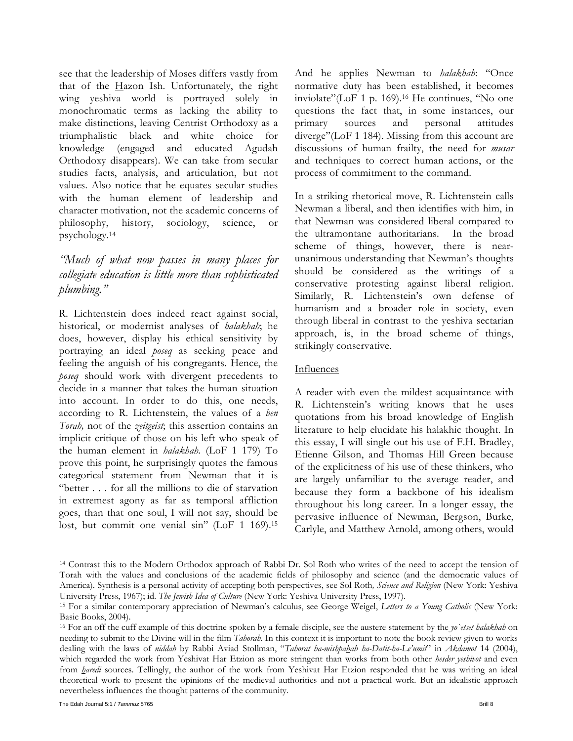see that the leadership of Moses differs vastly from that of the  $H$ azon Ish. Unfortunately, the right wing yeshiva world is portrayed solely in monochromatic terms as lacking the ability to make distinctions, leaving Centrist Orthodoxy as a triumphalistic black and white choice for knowledge (engaged and educated Agudah Orthodoxy disappears). We can take from secular studies facts, analysis, and articulation, but not values. Also notice that he equates secular studies with the human element of leadership and character motivation, not the academic concerns of philosophy, history, sociology, science, or psychology.14

### *"Much of what now passes in many places for collegiate education is little more than sophisticated plumbing."*

R. Lichtenstein does indeed react against social, historical, or modernist analyses of *halakhah*; he does, however, display his ethical sensitivity by portraying an ideal *poseq* as seeking peace and feeling the anguish of his congregants. Hence, the *poseq* should work with divergent precedents to decide in a manner that takes the human situation into account. In order to do this, one needs, according to R. Lichtenstein, the values of a *ben Torah,* not of the *zeitgeist*; this assertion contains an implicit critique of those on his left who speak of the human element in *halakhah.* (LoF 1 179) To prove this point, he surprisingly quotes the famous categorical statement from Newman that it is "better . . . for all the millions to die of starvation in extremest agony as far as temporal affliction goes, than that one soul, I will not say, should be lost, but commit one venial sin" (LoF 1 169).<sup>15</sup>

And he applies Newman to *halakhah*: "Once normative duty has been established, it becomes inviolate"(LoF 1 p. 169).16 He continues, "No one questions the fact that, in some instances, our primary sources and personal attitudes diverge"(LoF 1 184). Missing from this account are discussions of human frailty, the need for *musar* and techniques to correct human actions, or the process of commitment to the command.

In a striking rhetorical move, R. Lichtenstein calls Newman a liberal, and then identifies with him, in that Newman was considered liberal compared to the ultramontane authoritarians. In the broad scheme of things, however, there is nearunanimous understanding that Newman's thoughts should be considered as the writings of a conservative protesting against liberal religion. Similarly, R. Lichtenstein's own defense of humanism and a broader role in society, even through liberal in contrast to the yeshiva sectarian approach, is, in the broad scheme of things, strikingly conservative.

### Influences

A reader with even the mildest acquaintance with R. Lichtenstein's writing knows that he uses quotations from his broad knowledge of English literature to help elucidate his halakhic thought. In this essay, I will single out his use of F.H. Bradley, Etienne Gilson, and Thomas Hill Green because of the explicitness of his use of these thinkers, who are largely unfamiliar to the average reader, and because they form a backbone of his idealism throughout his long career. In a longer essay, the pervasive influence of Newman, Bergson, Burke, Carlyle, and Matthew Arnold, among others, would

<sup>14</sup> Contrast this to the Modern Orthodox approach of Rabbi Dr. Sol Roth who writes of the need to accept the tension of Torah with the values and conclusions of the academic fields of philosophy and science (and the democratic values of America). Synthesis is a personal activity of accepting both perspectives, see Sol Roth*, Science and Religion* (New York: Yeshiva University Press, 1967); id. The Jewish Idea of Culture (New York: Yeshiva University Press, 1997).<br><sup>15</sup> For a similar contemporary appreciation of Newman's calculus, see George Weigel, *Letters to a Young Catholic* (New Y

Basic Books, 2004).

<sup>16</sup> For an off the cuff example of this doctrine spoken by a female disciple, see the austere statement by the *yo`etset halakhah* on needing to submit to the Divine will in the film *Tahorah*. In this context it is important to note the book review given to works dealing with the laws of *niddah* by Rabbi Aviad Stollman, "*Tahorat ha-mishpahah ha-Datit-ha-Le'umit*" in *Akdamot* 14 (2004), which regarded the work from Yeshivat Har Etzion as more stringent than works from both other *hesder yeshivot* and even from *haredi* sources. Tellingly, the author of the work from Yeshivat Har Etzion responded that he was writing an ideal theoretical work to present the opinions of the medieval authorities and not a practical work. But an idealistic approach nevertheless influences the thought patterns of the community.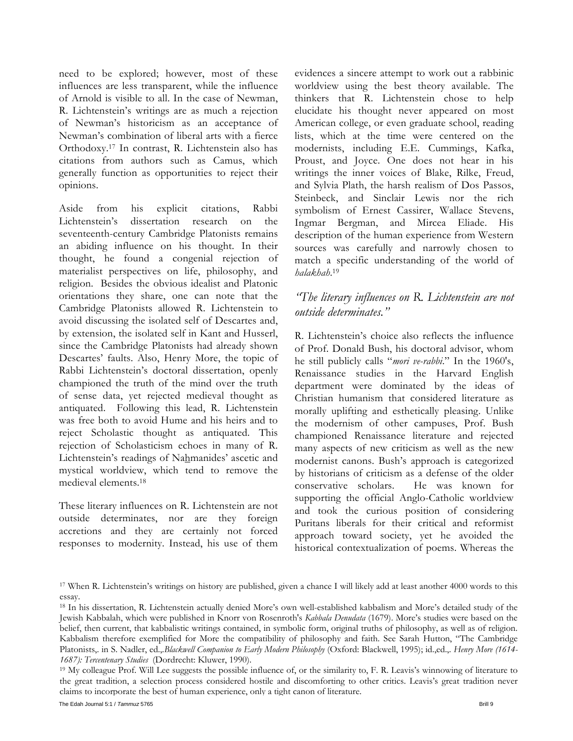need to be explored; however, most of these influences are less transparent, while the influence of Arnold is visible to all. In the case of Newman, R. Lichtenstein's writings are as much a rejection of Newman's historicism as an acceptance of Newman's combination of liberal arts with a fierce Orthodoxy.17 In contrast, R. Lichtenstein also has citations from authors such as Camus, which generally function as opportunities to reject their opinions.

Aside from his explicit citations, Rabbi Lichtenstein's dissertation research on the seventeenth-century Cambridge Platonists remains an abiding influence on his thought. In their thought, he found a congenial rejection of materialist perspectives on life, philosophy, and religion. Besides the obvious idealist and Platonic orientations they share, one can note that the Cambridge Platonists allowed R. Lichtenstein to avoid discussing the isolated self of Descartes and, by extension, the isolated self in Kant and Husserl, since the Cambridge Platonists had already shown Descartes' faults. Also, Henry More, the topic of Rabbi Lichtenstein's doctoral dissertation, openly championed the truth of the mind over the truth of sense data, yet rejected medieval thought as antiquated. Following this lead, R. Lichtenstein was free both to avoid Hume and his heirs and to reject Scholastic thought as antiquated. This rejection of Scholasticism echoes in many of R. Lichtenstein's readings of Nahmanides' ascetic and mystical worldview, which tend to remove the medieval elements.18

These literary influences on R. Lichtenstein are not outside determinates, nor are they foreign accretions and they are certainly not forced responses to modernity. Instead, his use of them

evidences a sincere attempt to work out a rabbinic worldview using the best theory available. The thinkers that R. Lichtenstein chose to help elucidate his thought never appeared on most American college, or even graduate school, reading lists, which at the time were centered on the modernists, including E.E. Cummings, Kafka, Proust, and Joyce. One does not hear in his writings the inner voices of Blake, Rilke, Freud, and Sylvia Plath, the harsh realism of Dos Passos, Steinbeck, and Sinclair Lewis nor the rich symbolism of Ernest Cassirer, Wallace Stevens, Ingmar Bergman, and Mircea Eliade. His description of the human experience from Western sources was carefully and narrowly chosen to match a specific understanding of the world of *halakhah*.19

### *"The literary influences on R. Lichtenstein are not outside determinates."*

R. Lichtenstein's choice also reflects the influence of Prof. Donald Bush, his doctoral advisor, whom he still publicly calls "*mori ve-rabbi*." In the 1960's, Renaissance studies in the Harvard English department were dominated by the ideas of Christian humanism that considered literature as morally uplifting and esthetically pleasing. Unlike the modernism of other campuses, Prof. Bush championed Renaissance literature and rejected many aspects of new criticism as well as the new modernist canons. Bush's approach is categorized by historians of criticism as a defense of the older conservative scholars. He was known for supporting the official Anglo-Catholic worldview and took the curious position of considering Puritans liberals for their critical and reformist approach toward society, yet he avoided the historical contextualization of poems. Whereas the

<sup>17</sup> When R. Lichtenstein's writings on history are published, given a chance I will likely add at least another 4000 words to this essay.

<sup>18</sup> In his dissertation, R. Lichtenstein actually denied More's own well-established kabbalism and More's detailed study of the Jewish Kabbalah, which were published in Knorr von Rosenroth's *Kabbala Denudata* (1679). More's studies were based on the belief, then current, that kabbalistic writings contained, in symbolic form, original truths of philosophy, as well as of religion. Kabbalism therefore exemplified for More the compatibility of philosophy and faith. See Sarah Hutton, "The Cambridge Platonists,. in S. Nadler, ed.,.*Blackwell Companion to Early Modern Philosophy* (Oxford: Blackwell, 1995); id.,ed.,. *Henry More (1614- 1687): Tercentenary Studies* (Dordrecht: Kluwer, 1990).<br><sup>19</sup> My colleague Prof. Will Lee suggests the possible influence of, or the similarity to, F. R. Leavis's winnowing of literature to

the great tradition, a selection process considered hostile and discomforting to other critics. Leavis's great tradition never claims to incorporate the best of human experience, only a tight canon of literature.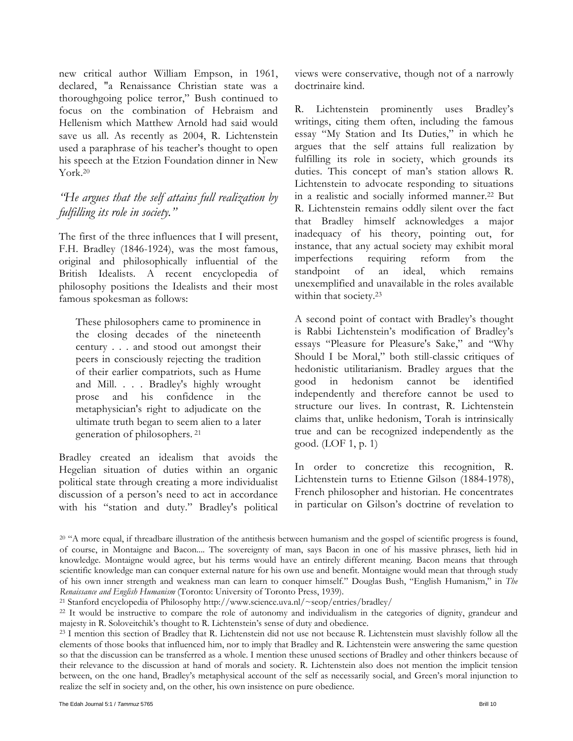new critical author William Empson, in 1961, declared, "a Renaissance Christian state was a thoroughgoing police terror," Bush continued to focus on the combination of Hebraism and Hellenism which Matthew Arnold had said would save us all. As recently as 2004, R. Lichtenstein used a paraphrase of his teacher's thought to open his speech at the Etzion Foundation dinner in New York.20

### *"He argues that the self attains full realization by fulfilling its role in society."*

The first of the three influences that I will present, F.H. Bradley (1846-1924), was the most famous, original and philosophically influential of the British Idealists. A recent encyclopedia of philosophy positions the Idealists and their most famous spokesman as follows:

These philosophers came to prominence in the closing decades of the nineteenth century . . . and stood out amongst their peers in consciously rejecting the tradition of their earlier compatriots, such as Hume and Mill. . . . Bradley's highly wrought prose and his confidence in the metaphysician's right to adjudicate on the ultimate truth began to seem alien to a later generation of philosophers. 21

Bradley created an idealism that avoids the Hegelian situation of duties within an organic political state through creating a more individualist discussion of a person's need to act in accordance with his "station and duty." Bradley's political views were conservative, though not of a narrowly doctrinaire kind.

R. Lichtenstein prominently uses Bradley's writings, citing them often, including the famous essay "My Station and Its Duties," in which he argues that the self attains full realization by fulfilling its role in society, which grounds its duties. This concept of man's station allows R. Lichtenstein to advocate responding to situations in a realistic and socially informed manner.22 But R. Lichtenstein remains oddly silent over the fact that Bradley himself acknowledges a major inadequacy of his theory, pointing out, for instance, that any actual society may exhibit moral imperfections requiring reform from the standpoint of an ideal, which remains unexemplified and unavailable in the roles available within that society.<sup>23</sup>

A second point of contact with Bradley's thought is Rabbi Lichtenstein's modification of Bradley's essays "Pleasure for Pleasure's Sake," and "Why Should I be Moral," both still-classic critiques of hedonistic utilitarianism. Bradley argues that the good in hedonism cannot be identified independently and therefore cannot be used to structure our lives. In contrast, R. Lichtenstein claims that, unlike hedonism, Torah is intrinsically true and can be recognized independently as the good. (LOF 1, p. 1)

In order to concretize this recognition, R. Lichtenstein turns to Etienne Gilson (1884-1978), French philosopher and historian. He concentrates in particular on Gilson's doctrine of revelation to

<sup>&</sup>lt;sup>20</sup> "A more equal, if threadbare illustration of the antithesis between humanism and the gospel of scientific progress is found, of course, in Montaigne and Bacon.... The sovereignty of man, says Bacon in one of his massive phrases, lieth hid in knowledge. Montaigne would agree, but his terms would have an entirely different meaning. Bacon means that through scientific knowledge man can conquer external nature for his own use and benefit. Montaigne would mean that through study of his own inner strength and weakness man can learn to conquer himself." Douglas Bush, "English Humanism," in *The*  Renaissance and English Humanism (Toronto: University of Toronto Press, 1939).<br><sup>21</sup> Stanford encyclopedia of Philosophy http://www.science.uva.nl/~seop/entries/bradley/<br><sup>22</sup> It would be instructive to compare the role of a

majesty in R. Soloveitchik's thought to R. Lichtenstein's sense of duty and obedience.<br><sup>23</sup> I mention this section of Bradley that R. Lichtenstein did not use not because R. Lichtenstein must slavishly follow all the

elements of those books that influenced him, nor to imply that Bradley and R. Lichtenstein were answering the same question so that the discussion can be transferred as a whole. I mention these unused sections of Bradley and other thinkers because of their relevance to the discussion at hand of morals and society. R. Lichtenstein also does not mention the implicit tension between, on the one hand, Bradley's metaphysical account of the self as necessarily social, and Green's moral injunction to realize the self in society and, on the other, his own insistence on pure obedience.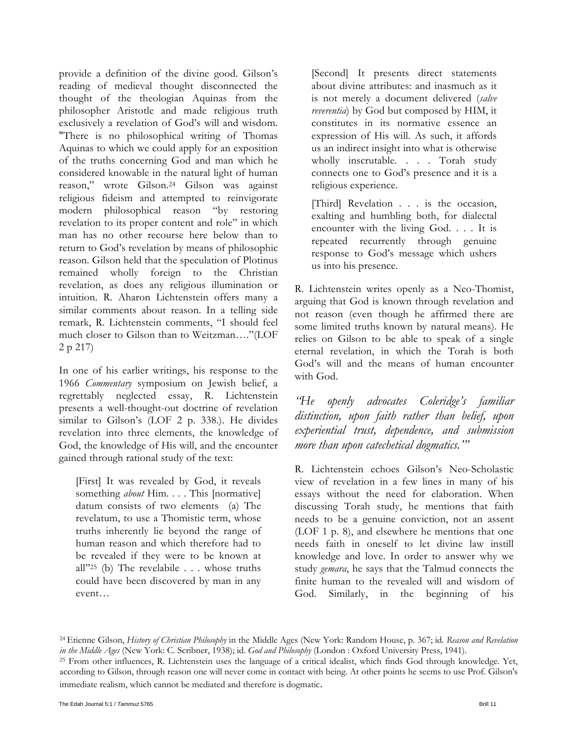provide a definition of the divine good. Gilson's reading of medieval thought disconnected the thought of the theologian Aquinas from the philosopher Aristotle and made religious truth exclusively a revelation of God's will and wisdom. "There is no philosophical writing of Thomas Aquinas to which we could apply for an exposition of the truths concerning God and man which he considered knowable in the natural light of human reason," wrote Gilson.24 Gilson was against religious fideism and attempted to reinvigorate modern philosophical reason "by restoring revelation to its proper content and role" in which man has no other recourse here below than to return to God's revelation by means of philosophic reason. Gilson held that the speculation of Plotinus remained wholly foreign to the Christian revelation, as does any religious illumination or intuition. R. Aharon Lichtenstein offers many a similar comments about reason. In a telling side remark, R. Lichtenstein comments, "I should feel much closer to Gilson than to Weitzman…."(LOF 2 p 217)

In one of his earlier writings, his response to the 1966 *Commentary* symposium on Jewish belief, a regrettably neglected essay, R. Lichtenstein presents a well-thought-out doctrine of revelation similar to Gilson's (LOF 2 p. 338.). He divides revelation into three elements, the knowledge of God, the knowledge of His will, and the encounter gained through rational study of the text:

[First] It was revealed by God, it reveals something *about* Him. . . . This [normative] datum consists of two elements (a) The revelatum, to use a Thomistic term, whose truths inherently lie beyond the range of human reason and which therefore had to be revealed if they were to be known at all"25 (b) The revelabile . . . whose truths could have been discovered by man in any event…

[Second] It presents direct statements about divine attributes: and inasmuch as it is not merely a document delivered (*salve reverentia*) by God but composed by HIM, it constitutes in its normative essence an expression of His will. As such, it affords us an indirect insight into what is otherwise wholly inscrutable. . . . Torah study connects one to God's presence and it is a religious experience.

[Third] Revelation . . . is the occasion, exalting and humbling both, for dialectal encounter with the living God. . . . It is repeated recurrently through genuine response to God's message which ushers us into his presence.

R. Lichtenstein writes openly as a Neo-Thomist, arguing that God is known through revelation and not reason (even though he affirmed there are some limited truths known by natural means). He relies on Gilson to be able to speak of a single eternal revelation, in which the Torah is both God's will and the means of human encounter with God.

*"He openly advocates Coleridge's familiar distinction, upon faith rather than belief, upon experiential trust, dependence, and submission more than upon catechetical dogmatics.'"* 

R. Lichtenstein echoes Gilson's Neo-Scholastic view of revelation in a few lines in many of his essays without the need for elaboration. When discussing Torah study, he mentions that faith needs to be a genuine conviction, not an assent (LOF 1 p. 8), and elsewhere he mentions that one needs faith in oneself to let divine law instill knowledge and love. In order to answer why we study *gemara*, he says that the Talmud connects the finite human to the revealed will and wisdom of God. Similarly, in the beginning of his

24 Etienne Gilson, *History of Christian Philosophy* in the Middle Ages (New York: Random House, p. 367; id*. Reason and Revelation*  in the Middle Ages (New York: C. Scribner, 1938); id. God and Philosophy (London : Oxford University Press, 1941).<br><sup>25</sup> From other influences, R. Lichtenstein uses the language of a critical idealist, which finds God throu according to Gilson, through reason one will never come in contact with being. At other points he seems to use Prof. Gilson's immediate realism, which cannot be mediated and therefore is dogmatic.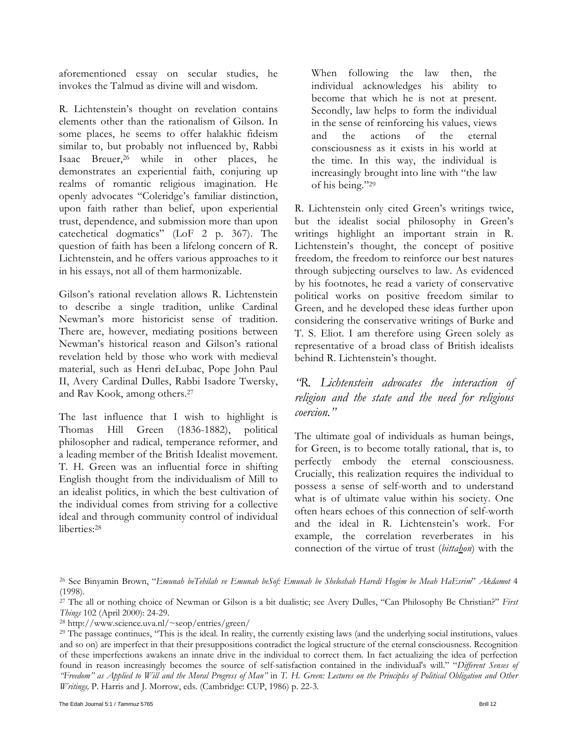aforementioned essay on secular studies, he invokes the Talmud as divine will and wisdom.

R. Lichtenstein's thought on revelation contains elements other than the rationalism of Gilson. In some places, he seems to offer halakhic fideism similar to, but probably not influenced by, Rabbi Isaac Breuer,26 while in other places, he demonstrates an experiential faith, conjuring up realms of romantic religious imagination. He openly advocates "Coleridge's familiar distinction, upon faith rather than belief, upon experiential trust, dependence, and submission more than upon catechetical dogmatics" (LoF 2 p. 367). The question of faith has been a lifelong concern of R. Lichtenstein, and he offers various approaches to it in his essays, not all of them harmonizable.

Gilson's rational revelation allows R. Lichtenstein to describe a single tradition, unlike Cardinal Newman's more historicist sense of tradition. There are, however, mediating positions between Newman's historical reason and Gilson's rational revelation held by those who work with medieval material, such as Henri deLubac, Pope John Paul II, Avery Cardinal Dulles, Rabbi Isadore Twersky, and Rav Kook, among others.27

The last influence that I wish to highlight is Thomas Hill Green (1836-1882), political philosopher and radical, temperance reformer, and a leading member of the British Idealist movement. T. H. Green was an influential force in shifting English thought from the individualism of Mill to an idealist politics, in which the best cultivation of the individual comes from striving for a collective ideal and through community control of individual liberties:28

When following the law then, the individual acknowledges his ability to become that which he is not at present. Secondly, law helps to form the individual in the sense of reinforcing his values, views and the actions of the eternal consciousness as it exists in his world at the time. In this way, the individual is increasingly brought into line with "the law of his being."29

R. Lichtenstein only cited Green's writings twice, but the idealist social philosophy in Green's writings highlight an important strain in R. Lichtenstein's thought, the concept of positive freedom, the freedom to reinforce our best natures through subjecting ourselves to law. As evidenced by his footnotes, he read a variety of conservative political works on positive freedom similar to Green, and he developed these ideas further upon considering the conservative writings of Burke and T. S. Eliot. I am therefore using Green solely as representative of a broad class of British idealists behind R. Lichtenstein's thought.

*"R. Lichtenstein advocates the interaction of religion and the state and the need for religious coercion."* 

The ultimate goal of individuals as human beings, for Green, is to become totally rational, that is, to perfectly embody the eternal consciousness. Crucially, this realization requires the individual to possess a sense of self-worth and to understand what is of ultimate value within his society. One often hears echoes of this connection of self-worth and the ideal in R. Lichtenstein's work. For example, the correlation reverberates in his connection of the virtue of trust (*bittahon*) with the

26 See Binyamin Brown, "*Emunah beTehilah ve Emunah beSof: Emunah be Sheloshah Haredi Hogim be Meah HaEsrim*" *Akdamot* 4 (1998).

27 The all or nothing choice of Newman or Gilson is a bit dualistic; see Avery Dulles, "Can Philosophy Be Christian?" *First Things* 102 (April 2000): 24-29. 28 http://www.science.uva.nl/~seop/entries/green/

<sup>29</sup> The passage continues, "This is the ideal. In reality, the currently existing laws (and the underlying social institutions, values and so on) are imperfect in that their presuppositions contradict the logical structure of the eternal consciousness. Recognition of these imperfections awakens an innate drive in the individual to correct them. In fact actualizing the idea of perfection found in reason increasingly becomes the source of self-satisfaction contained in the individual's will." "*Different Senses of "Freedom" as Applied to Will and the Moral Progress of Man"* in *T. H. Green: Lectures on the Principles of Political Obligation and Other Writings,* P. Harris and J. Morrow, eds. (Cambridge: CUP, 1986) p. 22-3.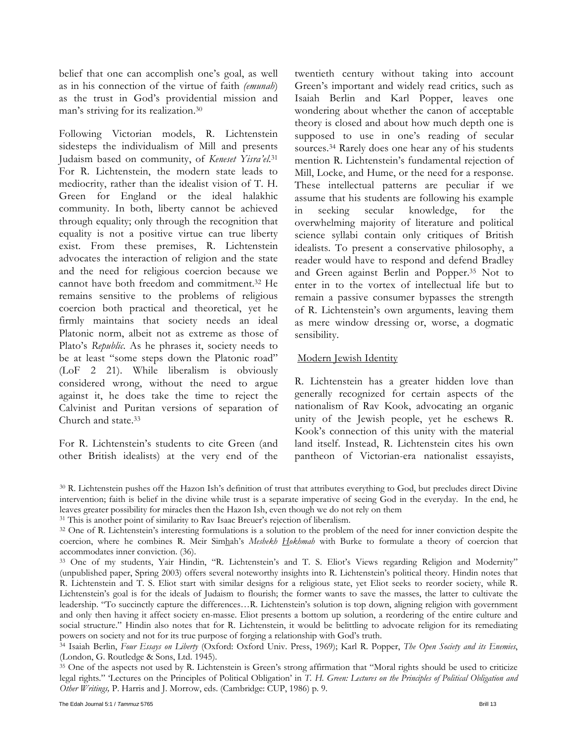belief that one can accomplish one's goal, as well as in his connection of the virtue of faith *(emunah*) as the trust in God's providential mission and man's striving for its realization.30

Following Victorian models, R. Lichtenstein sidesteps the individualism of Mill and presents Judaism based on community, of *Keneset Yisra'el*.31 For R. Lichtenstein, the modern state leads to mediocrity, rather than the idealist vision of T. H. Green for England or the ideal halakhic community. In both, liberty cannot be achieved through equality; only through the recognition that equality is not a positive virtue can true liberty exist. From these premises, R. Lichtenstein advocates the interaction of religion and the state and the need for religious coercion because we cannot have both freedom and commitment.32 He remains sensitive to the problems of religious coercion both practical and theoretical, yet he firmly maintains that society needs an ideal Platonic norm, albeit not as extreme as those of Plato's *Republic*. As he phrases it, society needs to be at least "some steps down the Platonic road" (LoF 2 21). While liberalism is obviously considered wrong, without the need to argue against it, he does take the time to reject the Calvinist and Puritan versions of separation of Church and state.33

For R. Lichtenstein's students to cite Green (and other British idealists) at the very end of the

twentieth century without taking into account Green's important and widely read critics, such as Isaiah Berlin and Karl Popper, leaves one wondering about whether the canon of acceptable theory is closed and about how much depth one is supposed to use in one's reading of secular sources.34 Rarely does one hear any of his students mention R. Lichtenstein's fundamental rejection of Mill, Locke, and Hume, or the need for a response. These intellectual patterns are peculiar if we assume that his students are following his example in seeking secular knowledge, for the overwhelming majority of literature and political science syllabi contain only critiques of British idealists. To present a conservative philosophy, a reader would have to respond and defend Bradley and Green against Berlin and Popper.35 Not to enter in to the vortex of intellectual life but to remain a passive consumer bypasses the strength of R. Lichtenstein's own arguments, leaving them as mere window dressing or, worse, a dogmatic sensibility.

### Modern Jewish Identity

R. Lichtenstein has a greater hidden love than generally recognized for certain aspects of the nationalism of Rav Kook, advocating an organic unity of the Jewish people, yet he eschews R. Kook's connection of this unity with the material land itself. Instead, R. Lichtenstein cites his own pantheon of Victorian-era nationalist essayists,

(London, G. Routledge & Sons, Ltd. 1945).<br><sup>35</sup> One of the aspects not used by R. Lichtenstein is Green's strong affirmation that "Moral rights should be used to criticize legal rights." 'Lectures on the Principles of Political Obligation' in *T. H. Green: Lectures on the Principles of Political Obligation and Other Writings,* P. Harris and J. Morrow, eds. (Cambridge: CUP, 1986) p. 9.

<sup>30</sup> R. Lichtenstein pushes off the Hazon Ish's definition of trust that attributes everything to God, but precludes direct Divine intervention; faith is belief in the divine while trust is a separate imperative of seeing God in the everyday. In the end, he leaves greater possibility for miracles then the Hazon Ish, even though we do not rely on them<br><sup>31</sup> This is another point of similarity to Rav Isaac Breuer's rejection of liberalism.<br><sup>32</sup> One of R. Lichtenstein's interesti

coercion, where he combines R. Meir Simhah's *Meshekh Hokhmah* with Burke to formulate a theory of coercion that accommodates inner conviction. (36).<br><sup>33</sup> One of my students, Yair Hindin, "R. Lichtenstein's and T. S. Eliot's Views regarding Religion and Modernity"

<sup>(</sup>unpublished paper, Spring 2003) offers several noteworthy insights into R. Lichtenstein's political theory. Hindin notes that R. Lichtenstein and T. S. Eliot start with similar designs for a religious state, yet Eliot seeks to reorder society, while R. Lichtenstein's goal is for the ideals of Judaism to flourish; the former wants to save the masses, the latter to cultivate the leadership. "To succinctly capture the differences…R. Lichtenstein's solution is top down, aligning religion with government and only then having it affect society en-masse. Eliot presents a bottom up solution, a reordering of the entire culture and social structure." Hindin also notes that for R. Lichtenstein, it would be belittling to advocate religion for its remediating powers on society and not for its true purpose of forging a relationship with God's truth.<br><sup>34</sup> Isaiah Berlin, Four Essays on Liberty (Oxford: Oxford Univ. Press, 1969); Karl R. Popper, The Open Society and its Enemies,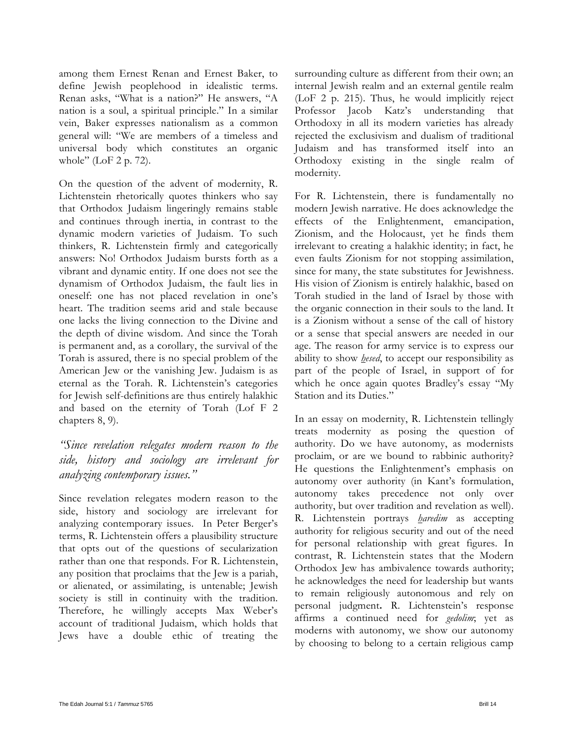among them Ernest Renan and Ernest Baker, to define Jewish peoplehood in idealistic terms. Renan asks, "What is a nation?" He answers, "A nation is a soul, a spiritual principle." In a similar vein, Baker expresses nationalism as a common general will: "We are members of a timeless and universal body which constitutes an organic whole" (LoF 2 p. 72).

On the question of the advent of modernity, R. Lichtenstein rhetorically quotes thinkers who say that Orthodox Judaism lingeringly remains stable and continues through inertia, in contrast to the dynamic modern varieties of Judaism. To such thinkers, R. Lichtenstein firmly and categorically answers: No! Orthodox Judaism bursts forth as a vibrant and dynamic entity. If one does not see the dynamism of Orthodox Judaism, the fault lies in oneself: one has not placed revelation in one's heart. The tradition seems arid and stale because one lacks the living connection to the Divine and the depth of divine wisdom. And since the Torah is permanent and, as a corollary, the survival of the Torah is assured, there is no special problem of the American Jew or the vanishing Jew. Judaism is as eternal as the Torah. R. Lichtenstein's categories for Jewish self-definitions are thus entirely halakhic and based on the eternity of Torah (Lof F 2 chapters 8, 9).

*"Since revelation relegates modern reason to the side, history and sociology are irrelevant for analyzing contemporary issues."* 

Since revelation relegates modern reason to the side, history and sociology are irrelevant for analyzing contemporary issues. In Peter Berger's terms, R. Lichtenstein offers a plausibility structure that opts out of the questions of secularization rather than one that responds. For R. Lichtenstein, any position that proclaims that the Jew is a pariah, or alienated, or assimilating, is untenable; Jewish society is still in continuity with the tradition. Therefore, he willingly accepts Max Weber's account of traditional Judaism, which holds that Jews have a double ethic of treating the

surrounding culture as different from their own; an internal Jewish realm and an external gentile realm (LoF 2 p. 215). Thus, he would implicitly reject Professor Jacob Katz's understanding that Orthodoxy in all its modern varieties has already rejected the exclusivism and dualism of traditional Judaism and has transformed itself into an Orthodoxy existing in the single realm of modernity.

For R. Lichtenstein, there is fundamentally no modern Jewish narrative. He does acknowledge the effects of the Enlightenment, emancipation, Zionism, and the Holocaust, yet he finds them irrelevant to creating a halakhic identity; in fact, he even faults Zionism for not stopping assimilation, since for many, the state substitutes for Jewishness. His vision of Zionism is entirely halakhic, based on Torah studied in the land of Israel by those with the organic connection in their souls to the land. It is a Zionism without a sense of the call of history or a sense that special answers are needed in our age. The reason for army service is to express our ability to show *hesed*, to accept our responsibility as part of the people of Israel, in support of for which he once again quotes Bradley's essay "My Station and its Duties."

In an essay on modernity, R. Lichtenstein tellingly treats modernity as posing the question of authority. Do we have autonomy, as modernists proclaim, or are we bound to rabbinic authority? He questions the Enlightenment's emphasis on autonomy over authority (in Kant's formulation, autonomy takes precedence not only over authority, but over tradition and revelation as well). R. Lichtenstein portrays *haredim* as accepting authority for religious security and out of the need for personal relationship with great figures. In contrast, R. Lichtenstein states that the Modern Orthodox Jew has ambivalence towards authority; he acknowledges the need for leadership but wants to remain religiously autonomous and rely on personal judgment**.** R. Lichtenstein's response affirms a continued need for *gedolim*; yet as moderns with autonomy, we show our autonomy by choosing to belong to a certain religious camp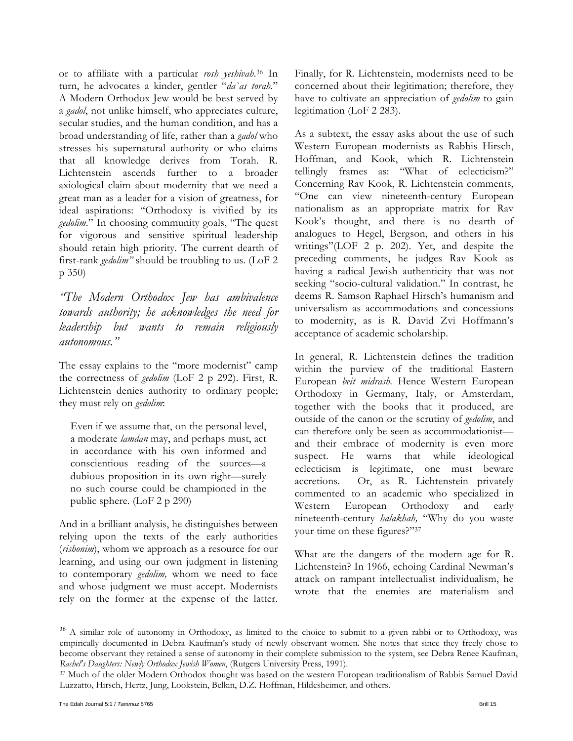or to affiliate with a particular *rosh yeshivah*.36 In turn, he advocates a kinder, gentler "*da`as torah.*" A Modern Orthodox Jew would be best served by a *gadol*, not unlike himself, who appreciates culture, secular studies, and the human condition, and has a broad understanding of life, rather than a *gadol* who stresses his supernatural authority or who claims that all knowledge derives from Torah. R. Lichtenstein ascends further to a broader axiological claim about modernity that we need a great man as a leader for a vision of greatness, for ideal aspirations: "Orthodoxy is vivified by its *gedolim*." In choosing community goals, "The quest for vigorous and sensitive spiritual leadership should retain high priority. The current dearth of first-rank *gedolim"* should be troubling to us. (LoF 2 p 350)

*"The Modern Orthodox Jew has ambivalence towards authority; he acknowledges the need for leadership but wants to remain religiously autonomous."* 

The essay explains to the "more modernist" camp the correctness of *gedolim* (LoF 2 p 292). First, R. Lichtenstein denies authority to ordinary people; they must rely on *gedolim*:

Even if we assume that, on the personal level, a moderate *lamdan* may, and perhaps must, act in accordance with his own informed and conscientious reading of the sources*—*a dubious proposition in its own right*—*surely no such course could be championed in the public sphere. (LoF 2 p 290)

And in a brilliant analysis, he distinguishes between relying upon the texts of the early authorities (*rishonim*), whom we approach as a resource for our learning, and using our own judgment in listening to contemporary *gedolim,* whom we need to face and whose judgment we must accept. Modernists rely on the former at the expense of the latter. Finally, for R. Lichtenstein, modernists need to be concerned about their legitimation; therefore, they have to cultivate an appreciation of *gedolim* to gain legitimation (LoF 2 283).

As a subtext, the essay asks about the use of such Western European modernists as Rabbis Hirsch, Hoffman, and Kook, which R. Lichtenstein tellingly frames as: "What of eclecticism?" Concerning Rav Kook, R. Lichtenstein comments, "One can view nineteenth-century European nationalism as an appropriate matrix for Rav Kook's thought, and there is no dearth of analogues to Hegel, Bergson, and others in his writings"(LOF 2 p. 202). Yet, and despite the preceding comments, he judges Rav Kook as having a radical Jewish authenticity that was not seeking "socio-cultural validation." In contrast, he deems R. Samson Raphael Hirsch's humanism and universalism as accommodations and concessions to modernity, as is R. David Zvi Hoffmann's acceptance of academic scholarship.

In general, R. Lichtenstein defines the tradition within the purview of the traditional Eastern European *beit midrash.* Hence Western European Orthodoxy in Germany, Italy, or Amsterdam, together with the books that it produced, are outside of the canon or the scrutiny of *gedolim*, and can therefore only be seen as accommodationist and their embrace of modernity is even more suspect. He warns that while ideological eclecticism is legitimate, one must beware accretions. Or, as R. Lichtenstein privately commented to an academic who specialized in Western European Orthodoxy and early nineteenth-century *halakhah,* "Why do you waste your time on these figures?"37

What are the dangers of the modern age for R. Lichtenstein? In 1966, echoing Cardinal Newman's attack on rampant intellectualist individualism, he wrote that the enemies are materialism and

<sup>&</sup>lt;sup>36</sup> A similar role of autonomy in Orthodoxy, as limited to the choice to submit to a given rabbi or to Orthodoxy, was empirically documented in Debra Kaufman's study of newly observant women. She notes that since they freely chose to become observant they retained a sense of autonomy in their complete submission to the system, see Debra Renee Kaufman,

*Rachel's Daughters: Newly Orthodox Jewish Women*, (Rutgers University Press, 1991).<br><sup>37</sup> Much of the older Modern Orthodox thought was based on the western European traditionalism of Rabbis Samuel David Luzzatto, Hirsch, Hertz, Jung, Lookstein, Belkin, D.Z. Hoffman, Hildesheimer, and others.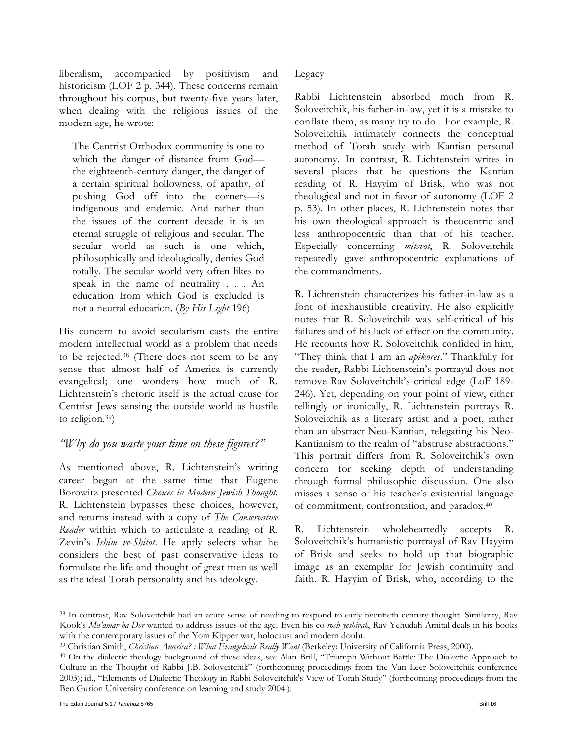liberalism, accompanied by positivism and historicism (LOF 2 p. 344). These concerns remain throughout his corpus, but twenty-five years later, when dealing with the religious issues of the modern age, he wrote:

The Centrist Orthodox community is one to which the danger of distance from God the eighteenth-century danger, the danger of a certain spiritual hollowness, of apathy, of pushing God off into the corners—is indigenous and endemic. And rather than the issues of the current decade it is an eternal struggle of religious and secular. The secular world as such is one which, philosophically and ideologically, denies God totally. The secular world very often likes to speak in the name of neutrality . . . An education from which God is excluded is not a neutral education. (*By His Light* 196)

His concern to avoid secularism casts the entire modern intellectual world as a problem that needs to be rejected.38 (There does not seem to be any sense that almost half of America is currently evangelical; one wonders how much of R. Lichtenstein's rhetoric itself is the actual cause for Centrist Jews sensing the outside world as hostile to religion.39)

### *"Why do you waste your time on these figures?"*

As mentioned above, R. Lichtenstein's writing career began at the same time that Eugene Borowitz presented *Choices in Modern Jewish Thought.* R. Lichtenstein bypasses these choices, however, and returns instead with a copy of *The Conservative Reader* within which to articulate a reading of R. Zevin's *Ishim ve-Shitot*. He aptly selects what he considers the best of past conservative ideas to formulate the life and thought of great men as well as the ideal Torah personality and his ideology.

### **Legacy**

Rabbi Lichtenstein absorbed much from R. Soloveitchik, his father-in-law, yet it is a mistake to conflate them, as many try to do. For example, R. Soloveitchik intimately connects the conceptual method of Torah study with Kantian personal autonomy. In contrast, R. Lichtenstein writes in several places that he questions the Kantian reading of R. Hayyim of Brisk, who was not theological and not in favor of autonomy (LOF 2 p. 53). In other places, R. Lichtenstein notes that his own theological approach is theocentric and less anthropocentric than that of his teacher. Especially concerning *mitsvot*, R. Soloveitchik repeatedly gave anthropocentric explanations of the commandments.

R. Lichtenstein characterizes his father-in-law as a font of inexhaustible creativity. He also explicitly notes that R. Soloveitchik was self-critical of his failures and of his lack of effect on the community. He recounts how R. Soloveitchik confided in him, "They think that I am an *apikores*." Thankfully for the reader, Rabbi Lichtenstein's portrayal does not remove Rav Soloveitchik's critical edge (LoF 189- 246). Yet, depending on your point of view, either tellingly or ironically, R. Lichtenstein portrays R. Soloveitchik as a literary artist and a poet, rather than an abstract Neo-Kantian, relegating his Neo-Kantianism to the realm of "abstruse abstractions." This portrait differs from R. Soloveitchik's own concern for seeking depth of understanding through formal philosophic discussion. One also misses a sense of his teacher's existential language of commitment, confrontation, and paradox.40

R. Lichtenstein wholeheartedly accepts R. Soloveitchik's humanistic portrayal of Rav Hayyim of Brisk and seeks to hold up that biographic image as an exemplar for Jewish continuity and faith. R.  $\frac{H}{y}$  Hayyim of Brisk, who, according to the

<sup>38</sup> In contrast, Rav Soloveitchik had an acute sense of needing to respond to early twentieth century thought. Similarity, Rav Kook's *Ma'amar ha-Dor* wanted to address issues of the age. Even his co-*rosh yeshivah*, Rav Yehudah Amital deals in his books

with the contemporary issues of the Yom Kipper war, holocaust and modern doubt.<br><sup>39</sup> Christian Smith, *Christian America?* : *What Evangelicals Really Want* (Berkeley: University of California Press, 2000).<br><sup>40</sup> On the dia Culture in the Thought of Rabbi J.B. Soloveitchik" (forthcoming proceedings from the Van Leer Soloveitchik conference 2003); id., "Elements of Dialectic Theology in Rabbi Soloveitchik's View of Torah Study" (forthcoming proceedings from the Ben Gurion University conference on learning and study 2004 ).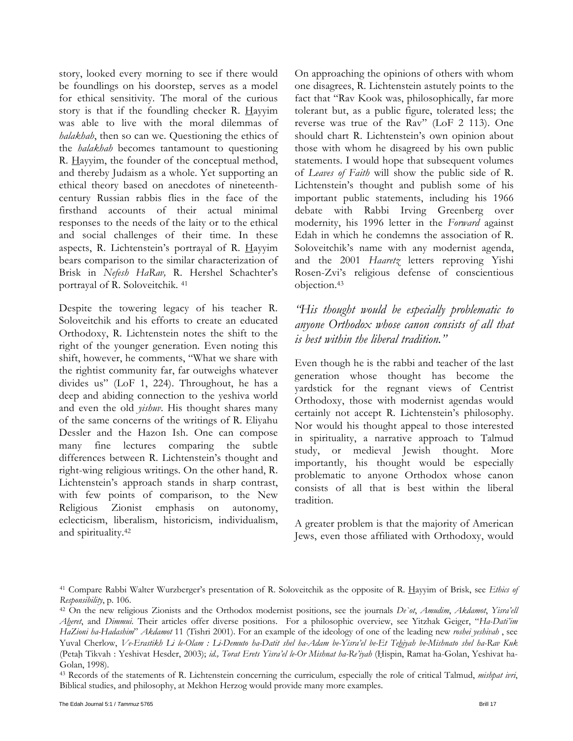story, looked every morning to see if there would be foundlings on his doorstep, serves as a model for ethical sensitivity. The moral of the curious story is that if the foundling checker R. Hayyim was able to live with the moral dilemmas of *halakhah*, then so can we. Questioning the ethics of the *halakhah* becomes tantamount to questioning R. Hayyim, the founder of the conceptual method, and thereby Judaism as a whole. Yet supporting an ethical theory based on anecdotes of nineteenthcentury Russian rabbis flies in the face of the firsthand accounts of their actual minimal responses to the needs of the laity or to the ethical and social challenges of their time. In these aspects, R. Lichtenstein's portrayal of R. Hayyim bears comparison to the similar characterization of Brisk in *Nefesh HaRav,* R. Hershel Schachter's portrayal of R. Soloveitchik*.* 41

Despite the towering legacy of his teacher R. Soloveitchik and his efforts to create an educated Orthodoxy, R. Lichtenstein notes the shift to the right of the younger generation. Even noting this shift, however, he comments, "What we share with the rightist community far, far outweighs whatever divides us" (LoF 1, 224). Throughout, he has a deep and abiding connection to the yeshiva world and even the old *yishuv*. His thought shares many of the same concerns of the writings of R. Eliyahu Dessler and the Hazon Ish. One can compose many fine lectures comparing the subtle differences between R. Lichtenstein's thought and right-wing religious writings. On the other hand, R. Lichtenstein's approach stands in sharp contrast, with few points of comparison, to the New Religious Zionist emphasis on autonomy, eclecticism, liberalism, historicism, individualism, and spirituality.42

On approaching the opinions of others with whom one disagrees, R. Lichtenstein astutely points to the fact that "Rav Kook was, philosophically, far more tolerant but, as a public figure, tolerated less; the reverse was true of the Rav" (LoF 2 113). One should chart R. Lichtenstein's own opinion about those with whom he disagreed by his own public statements. I would hope that subsequent volumes of *Leaves of Faith* will show the public side of R. Lichtenstein's thought and publish some of his important public statements, including his 1966 debate with Rabbi Irving Greenberg over modernity, his 1996 letter in the *Forward* against Edah in which he condemns the association of R. Soloveitchik's name with any modernist agenda, and the 2001 *Haaretz* letters reproving Yishi Rosen-Zvi's religious defense of conscientious objection.43

### *"His thought would be especially problematic to anyone Orthodox whose canon consists of all that is best within the liberal tradition."*

Even though he is the rabbi and teacher of the last generation whose thought has become the yardstick for the regnant views of Centrist Orthodoxy, those with modernist agendas would certainly not accept R. Lichtenstein's philosophy. Nor would his thought appeal to those interested in spirituality, a narrative approach to Talmud study, or medieval Jewish thought. More importantly, his thought would be especially problematic to anyone Orthodox whose canon consists of all that is best within the liberal tradition.

A greater problem is that the majority of American Jews, even those affiliated with Orthodoxy, would

<sup>41</sup> Compare Rabbi Walter Wurzberger's presentation of R. Soloveitchik as the opposite of R. Hayyim of Brisk, see *Ethics of Responsibility*, p. 106. 42 On the new religious Zionists and the Orthodox modernist positions, see the journals *De`ot*, *Amudim*, *Akdamot*, *Yisra'ell* 

*Aheret*, and *Dimmui*. Their articles offer diverse positions. For a philosophic overview, see Yitzhak Geiger, "*Ha-Dati'im HaZioni ha-Hadashim*" *Akdamot* 11 (Tishri 2001). For an example of the ideology of one of the leading new *roshei yeshivah* , see Yuval Cherlow, *Ve-Erastikh Li le-Olam : Li-Demuto ha-Datit shel ha-Adam be-Yisra'el be-Et Teḥiyah be-Mishnato shel ha-Rav Kuk* (Petaḥ Tikvah : Yeshivat Hesder, 2003); *id., Torat Erets Yisra'el le-Or Mishnat ha-Re'iyah* (Ḥispin, Ramat ha-Golan, Yeshivat ha-Golan, 1998).

<sup>43</sup> Records of the statements of R. Lichtenstein concerning the curriculum, especially the role of critical Talmud, *mishpat ivri*, Biblical studies, and philosophy, at Mekhon Herzog would provide many more examples.